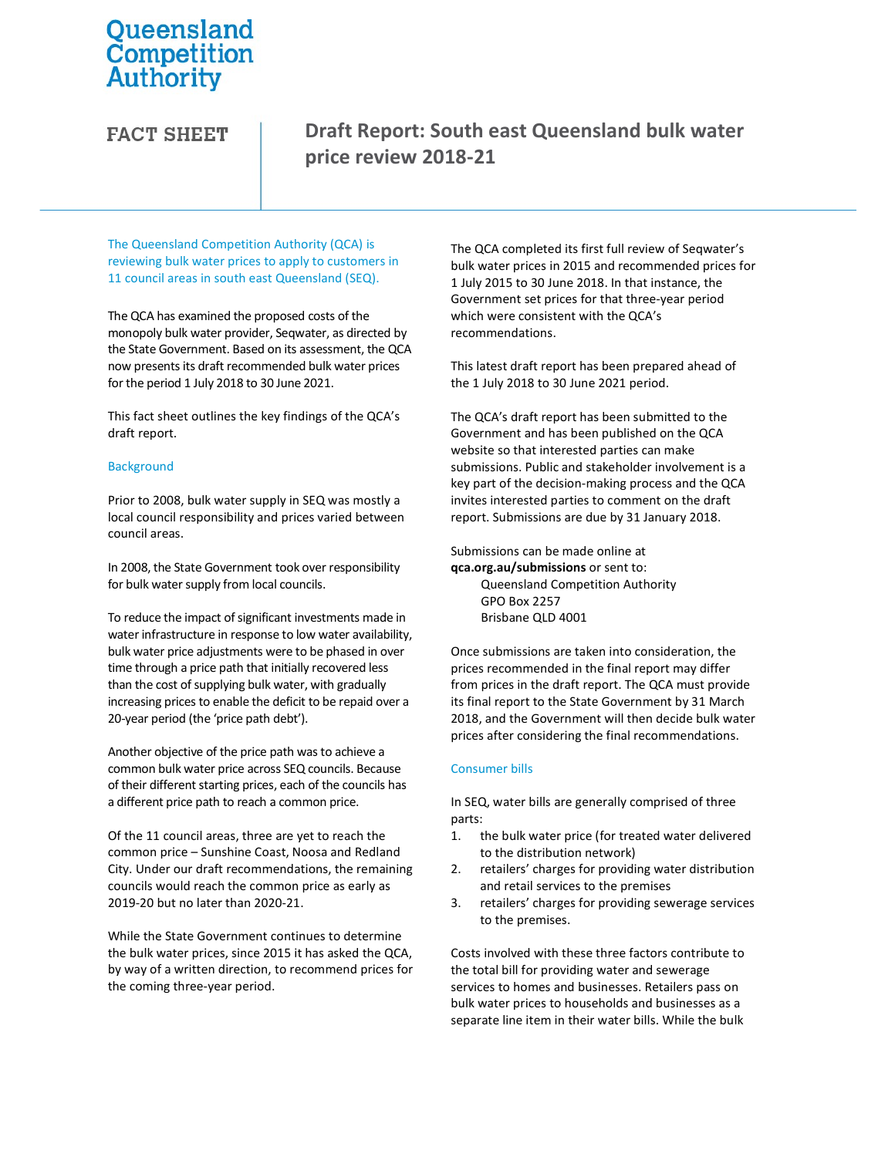# Queensland Competition **Authority**

**FACT SHEET** 

## Draft Report: South east Queensland bulk water price review 2018-21

The Queensland Competition Authority (QCA) is reviewing bulk water prices to apply to customers in 11 council areas in south east Queensland (SEQ).

The QCA has examined the proposed costs of the monopoly bulk water provider, Seqwater, as directed by the State Government. Based on its assessment, the QCA now presents its draft recommended bulk water prices for the period 1 July 2018 to 30 June 2021.

This fact sheet outlines the key findings of the QCA's draft report.

### **Background**

Prior to 2008, bulk water supply in SEQ was mostly a local council responsibility and prices varied between council areas.

In 2008, the State Government took over responsibility for bulk water supply from local councils.

To reduce the impact of significant investments made in water infrastructure in response to low water availability, bulk water price adjustments were to be phased in over time through a price path that initially recovered less than the cost of supplying bulk water, with gradually increasing prices to enable the deficit to be repaid over a 20-year period (the 'price path debt').

Another objective of the price path was to achieve a common bulk water price across SEQ councils. Because of their different starting prices, each of the councils has a different price path to reach a common price.

Of the 11 council areas, three are yet to reach the common price – Sunshine Coast, Noosa and Redland City. Under our draft recommendations, the remaining councils would reach the common price as early as 2019-20 but no later than 2020-21.

While the State Government continues to determine the bulk water prices, since 2015 it has asked the QCA, by way of a written direction, to recommend prices for the coming three-year period.

The QCA completed its first full review of Seqwater's bulk water prices in 2015 and recommended prices for 1 July 2015 to 30 June 2018. In that instance, the Government set prices for that three-year period which were consistent with the QCA's recommendations.

This latest draft report has been prepared ahead of the 1 July 2018 to 30 June 2021 period.

The QCA's draft report has been submitted to the Government and has been published on the QCA website so that interested parties can make submissions. Public and stakeholder involvement is a key part of the decision-making process and the QCA invites interested parties to comment on the draft report. Submissions are due by 31 January 2018.

Submissions can be made online at

qca.org.au/submissions or sent to: Queensland Competition Authority GPO Box 2257 Brisbane QLD 4001

Once submissions are taken into consideration, the prices recommended in the final report may differ from prices in the draft report. The QCA must provide its final report to the State Government by 31 March 2018, and the Government will then decide bulk water prices after considering the final recommendations.

### Consumer bills

In SEQ, water bills are generally comprised of three parts:

- 1. the bulk water price (for treated water delivered to the distribution network)
- 2. retailers' charges for providing water distribution and retail services to the premises
- 3. retailers' charges for providing sewerage services to the premises.

Costs involved with these three factors contribute to the total bill for providing water and sewerage services to homes and businesses. Retailers pass on bulk water prices to households and businesses as a separate line item in their water bills. While the bulk